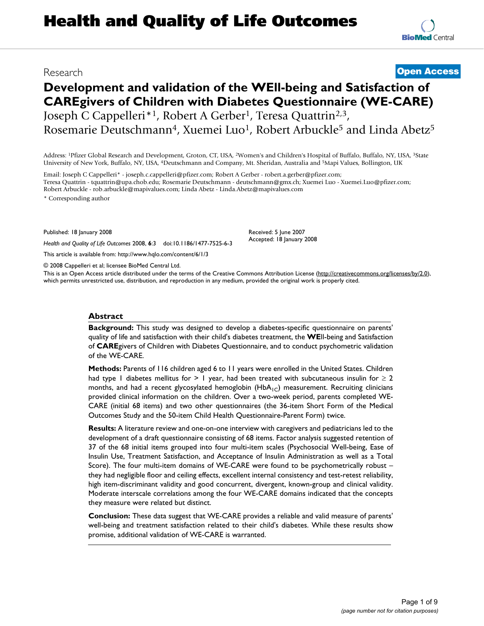# **Development and validation of the WEll-being and Satisfaction of CAREgivers of Children with Diabetes Questionnaire (WE-CARE)** Joseph C Cappelleri<sup>\*1</sup>, Robert A Gerber<sup>1</sup>, Teresa Quattrin<sup>2,3</sup>,

Rosemarie Deutschmann<sup>4</sup>, Xuemei Luo<sup>1</sup>, Robert Arbuckle<sup>5</sup> and Linda Abetz<sup>5</sup>

Address: 1Pfizer Global Research and Development, Groton, CT, USA, 2Women's and Children's Hospital of Buffalo, Buffalo, NY, USA, 3State University of New York, Buffalo, NY, USA, 4Deutschmann and Company, Mt. Sheridan, Australia and 5Mapi Values, Bollington, UK

Email: Joseph C Cappelleri\* - joseph.c.cappelleri@pfizer.com; Robert A Gerber - robert.a.gerber@pfizer.com; Teresa Quattrin - tquattrin@upa.chob.edu; Rosemarie Deutschmann - deutschmann@gmx.ch; Xuemei Luo - Xuemei.Luo@pfizer.com; Robert Arbuckle - rob.arbuckle@mapivalues.com; Linda Abetz - Linda.Abetz@mapivalues.com

\* Corresponding author

Published: 18 January 2008

*Health and Quality of Life Outcomes* 2008, **6**:3 doi:10.1186/1477-7525-6-3

[This article is available from: http://www.hqlo.com/content/6/1/3](http://www.hqlo.com/content/6/1/3)

© 2008 Cappelleri et al; licensee BioMed Central Ltd.

This is an Open Access article distributed under the terms of the Creative Commons Attribution License [\(http://creativecommons.org/licenses/by/2.0\)](http://creativecommons.org/licenses/by/2.0), which permits unrestricted use, distribution, and reproduction in any medium, provided the original work is properly cited.

Received: 5 June 2007 Accepted: 18 January 2008

#### **Abstract**

**Background:** This study was designed to develop a diabetes-specific questionnaire on parents' quality of life and satisfaction with their child's diabetes treatment, the **WE**ll-being and Satisfaction of **CARE**givers of Children with Diabetes Questionnaire, and to conduct psychometric validation of the WE-CARE.

**Methods:** Parents of 116 children aged 6 to 11 years were enrolled in the United States. Children had type 1 diabetes mellitus for > 1 year, had been treated with subcutaneous insulin for  $\geq 2$ months, and had a recent glycosylated hemoglobin  $(HbA<sub>1C</sub>)$  measurement. Recruiting clinicians provided clinical information on the children. Over a two-week period, parents completed WE-CARE (initial 68 items) and two other questionnaires (the 36-item Short Form of the Medical Outcomes Study and the 50-item Child Health Questionnaire-Parent Form) twice.

**Results:** A literature review and one-on-one interview with caregivers and pediatricians led to the development of a draft questionnaire consisting of 68 items. Factor analysis suggested retention of 37 of the 68 initial items grouped into four multi-item scales (Psychosocial Well-being, Ease of Insulin Use, Treatment Satisfaction, and Acceptance of Insulin Administration as well as a Total Score). The four multi-item domains of WE-CARE were found to be psychometrically robust – they had negligible floor and ceiling effects, excellent internal consistency and test-retest reliability, high item-discriminant validity and good concurrent, divergent, known-group and clinical validity. Moderate interscale correlations among the four WE-CARE domains indicated that the concepts they measure were related but distinct.

**Conclusion:** These data suggest that WE-CARE provides a reliable and valid measure of parents' well-being and treatment satisfaction related to their child's diabetes. While these results show promise, additional validation of WE-CARE is warranted.



# Research **[Open Access](http://www.biomedcentral.com/info/about/charter/)**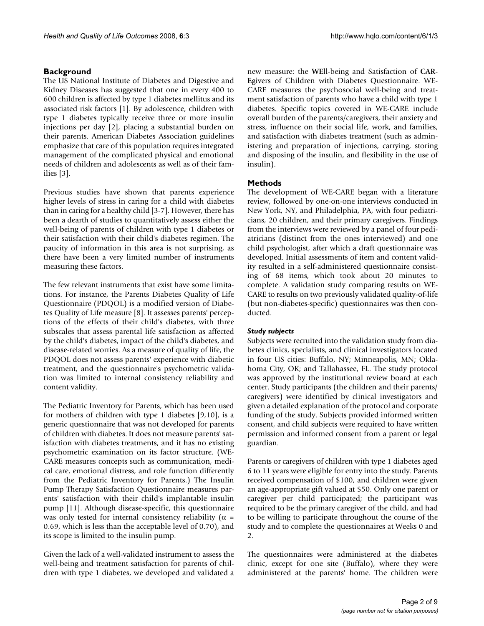#### **Background**

The US National Institute of Diabetes and Digestive and Kidney Diseases has suggested that one in every 400 to 600 children is affected by type 1 diabetes mellitus and its associated risk factors [1]. By adolescence, children with type 1 diabetes typically receive three or more insulin injections per day [2], placing a substantial burden on their parents. American Diabetes Association guidelines emphasize that care of this population requires integrated management of the complicated physical and emotional needs of children and adolescents as well as of their families [3].

Previous studies have shown that parents experience higher levels of stress in caring for a child with diabetes than in caring for a healthy child [3-7]. However, there has been a dearth of studies to quantitatively assess either the well-being of parents of children with type 1 diabetes or their satisfaction with their child's diabetes regimen. The paucity of information in this area is not surprising, as there have been a very limited number of instruments measuring these factors.

The few relevant instruments that exist have some limitations. For instance, the Parents Diabetes Quality of Life Questionnaire (PDQOL) is a modified version of Diabetes Quality of Life measure [8]. It assesses parents' perceptions of the effects of their child's diabetes, with three subscales that assess parental life satisfaction as affected by the child's diabetes, impact of the child's diabetes, and disease-related worries. As a measure of quality of life, the PDQOL does not assess parents' experience with diabetic treatment, and the questionnaire's psychometric validation was limited to internal consistency reliability and content validity.

The Pediatric Inventory for Parents, which has been used for mothers of children with type 1 diabetes [9,10], is a generic questionnaire that was not developed for parents of children with diabetes. It does not measure parents' satisfaction with diabetes treatments, and it has no existing psychometric examination on its factor structure. (WE-CARE measures concepts such as communication, medical care, emotional distress, and role function differently from the Pediatric Inventory for Parents.) The Insulin Pump Therapy Satisfaction Questionnaire measures parents' satisfaction with their child's implantable insulin pump [11]. Although disease-specific, this questionnaire was only tested for internal consistency reliability ( $\alpha$  = 0.69, which is less than the acceptable level of 0.70), and its scope is limited to the insulin pump.

Given the lack of a well-validated instrument to assess the well-being and treatment satisfaction for parents of children with type 1 diabetes, we developed and validated a new measure: the **WE**ll-being and Satisfaction of **CAR-E**givers of Children with Diabetes Questionnaire. WE-CARE measures the psychosocial well-being and treatment satisfaction of parents who have a child with type 1 diabetes. Specific topics covered in WE-CARE include overall burden of the parents/caregivers, their anxiety and stress, influence on their social life, work, and families, and satisfaction with diabetes treatment (such as administering and preparation of injections, carrying, storing and disposing of the insulin, and flexibility in the use of insulin).

#### **Methods**

The development of WE-CARE began with a literature review, followed by one-on-one interviews conducted in New York, NY, and Philadelphia, PA, with four pediatricians, 20 children, and their primary caregivers. Findings from the interviews were reviewed by a panel of four pediatricians (distinct from the ones interviewed) and one child psychologist, after which a draft questionnaire was developed. Initial assessments of item and content validity resulted in a self-administered questionnaire consisting of 68 items, which took about 20 minutes to complete. A validation study comparing results on WE-CARE to results on two previously validated quality-of-life (but non-diabetes-specific) questionnaires was then conducted.

#### *Study subjects*

Subjects were recruited into the validation study from diabetes clinics, specialists, and clinical investigators located in four US cities: Buffalo, NY; Minneapolis, MN; Oklahoma City, OK; and Tallahassee, FL. The study protocol was approved by the institutional review board at each center. Study participants (the children and their parents/ caregivers) were identified by clinical investigators and given a detailed explanation of the protocol and corporate funding of the study. Subjects provided informed written consent, and child subjects were required to have written permission and informed consent from a parent or legal guardian.

Parents or caregivers of children with type 1 diabetes aged 6 to 11 years were eligible for entry into the study. Parents received compensation of \$100, and children were given an age-appropriate gift valued at \$50. Only one parent or caregiver per child participated; the participant was required to be the primary caregiver of the child, and had to be willing to participate throughout the course of the study and to complete the questionnaires at Weeks 0 and 2.

The questionnaires were administered at the diabetes clinic, except for one site (Buffalo), where they were administered at the parents' home. The children were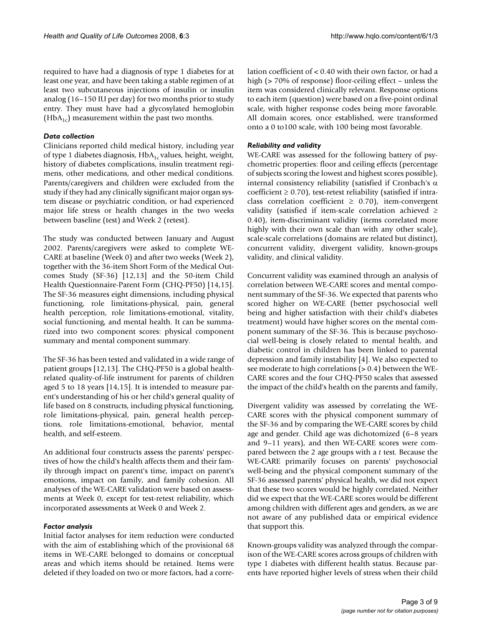required to have had a diagnosis of type 1 diabetes for at least one year, and have been taking a stable regimen of at least two subcutaneous injections of insulin or insulin analog (16–150 IU per day) for two months prior to study entry. They must have had a glycosylated hemoglobin  $(HbA_{1c})$  measurement within the past two months.

#### *Data collection*

Clinicians reported child medical history, including year of type 1 diabetes diagnosis,  $HbA_{1c}$  values, height, weight, history of diabetes complications, insulin treatment regimens, other medications, and other medical conditions. Parents/caregivers and children were excluded from the study if they had any clinically significant major organ system disease or psychiatric condition, or had experienced major life stress or health changes in the two weeks between baseline (test) and Week 2 (retest).

The study was conducted between January and August 2002. Parents/caregivers were asked to complete WE-CARE at baseline (Week 0) and after two weeks (Week 2), together with the 36-item Short Form of the Medical Outcomes Study (SF-36) [12,13] and the 50-item Child Health Questionnaire-Parent Form (CHQ-PF50) [14,15]. The SF-36 measures eight dimensions, including physical functioning, role limitations-physical, pain, general health perception, role limitations-emotional, vitality, social functioning, and mental health. It can be summarized into two component scores: physical component summary and mental component summary.

The SF-36 has been tested and validated in a wide range of patient groups [12,13]. The CHQ-PF50 is a global healthrelated quality-of-life instrument for parents of children aged 5 to 18 years [14,15]. It is intended to measure parent's understanding of his or her child's general quality of life based on 8 constructs, including physical functioning, role limitations-physical, pain, general health perceptions, role limitations-emotional, behavior, mental health, and self-esteem.

An additional four constructs assess the parents' perspectives of how the child's health affects them and their family through impact on parent's time, impact on parent's emotions, impact on family, and family cohesion. All analyses of the WE-CARE validation were based on assessments at Week 0, except for test-retest reliability, which incorporated assessments at Week 0 and Week 2.

# *Factor analysis*

Initial factor analyses for item reduction were conducted with the aim of establishing which of the provisional 68 items in WE-CARE belonged to domains or conceptual areas and which items should be retained. Items were deleted if they loaded on two or more factors, had a correlation coefficient of < 0.40 with their own factor, or had a high (> 70% of response) floor-ceiling effect – unless the item was considered clinically relevant. Response options to each item (question) were based on a five-point ordinal scale, with higher response codes being more favorable. All domain scores, once established, were transformed onto a 0 to100 scale, with 100 being most favorable.

#### *Reliability and validity*

WE-CARE was assessed for the following battery of psychometric properties: floor and ceiling effects (percentage of subjects scoring the lowest and highest scores possible), internal consistency reliability (satisfied if Cronbach's α coefficient  $\geq$  0.70), test-retest reliability (satisfied if intraclass correlation coefficient  $\geq$  0.70), item-convergent validity (satisfied if item-scale correlation achieved ≥ 0.40), item-discriminant validity (items correlated more highly with their own scale than with any other scale), scale-scale correlations (domains are related but distinct), concurrent validity, divergent validity, known-groups validity, and clinical validity.

Concurrent validity was examined through an analysis of correlation between WE-CARE scores and mental component summary of the SF-36. We expected that parents who scored higher on WE-CARE (better psychosocial well being and higher satisfaction with their child's diabetes treatment) would have higher scores on the mental component summary of the SF-36. This is because psychosocial well-being is closely related to mental health, and diabetic control in children has been linked to parental depression and family instability [4]. We also expected to see moderate to high correlations  $(> 0.4)$  between the WE-CARE scores and the four CHQ-PF50 scales that assessed the impact of the child's health on the parents and family,

Divergent validity was assessed by correlating the WE-CARE scores with the physical component summary of the SF-36 and by comparing the WE-CARE scores by child age and gender. Child age was dichotomized (6–8 years and 9–11 years), and then WE-CARE scores were compared between the 2 age groups with a *t* test. Because the WE-CARE primarily focuses on parents' psychosocial well-being and the physical component summary of the SF-36 assessed parents' physical health, we did not expect that these two scores would be highly correlated. Neither did we expect that the WE-CARE scores would be different among children with different ages and genders, as we are not aware of any published data or empirical evidence that support this.

Known-groups validity was analyzed through the comparison of the WE-CARE scores across groups of children with type 1 diabetes with different health status. Because parents have reported higher levels of stress when their child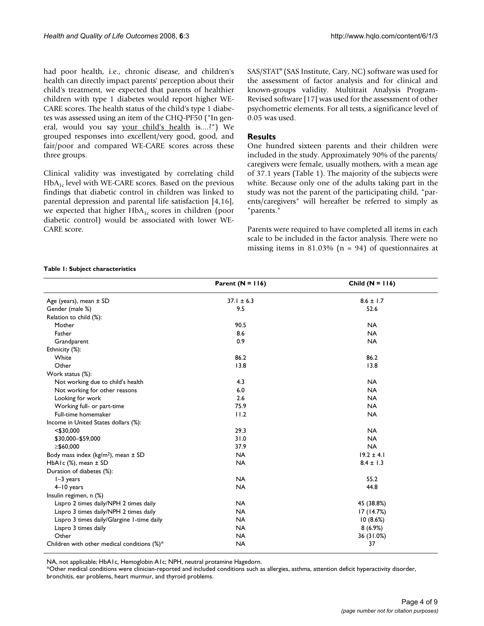had poor health, i.e., chronic disease, and children's health can directly impact parents' perception about their child's treatment, we expected that parents of healthier children with type 1 diabetes would report higher WE-CARE scores. The health status of the child's type 1 diabetes was assessed using an item of the CHQ-PF50 ("In general, would you say your child's health is....?") We grouped responses into excellent/very good, good, and fair/poor and compared WE-CARE scores across these three groups.

Clinical validity was investigated by correlating child  $HbA<sub>1c</sub>$  level with WE-CARE scores. Based on the previous findings that diabetic control in children was linked to parental depression and parental life satisfaction [4,16], we expected that higher  $HbA<sub>1c</sub>$  scores in children (poor diabetic control) would be associated with lower WE-CARE score.

SAS/STAT® (SAS Institute, Cary, NC) software was used for the assessment of factor analysis and for clinical and known-groups validity. Multitrait Analysis Program-Revised software [17] was used for the assessment of other psychometric elements. For all tests, a significance level of 0.05 was used.

# **Results**

One hundred sixteen parents and their children were included in the study. Approximately 90% of the parents/ caregivers were female, usually mothers, with a mean age of 37.1 years (Table 1). The majority of the subjects were white. Because only one of the adults taking part in the study was not the parent of the participating child, "parents/caregivers" will hereafter be referred to simply as "parents."

Parents were required to have completed all items in each scale to be included in the factor analysis. There were no missing items in 81.03% ( $n = 94$ ) of questionnaires at

#### **Table 1: Subject characteristics**

|                                             | Parent ( $N = 116$ ) | Child $(N = 116)$ |
|---------------------------------------------|----------------------|-------------------|
| Age (years), mean $\pm$ SD                  | $37.1 \pm 6.3$       | $8.6 \pm 1.7$     |
| Gender (male %)                             | 9.5                  | 52.6              |
| Relation to child (%):                      |                      |                   |
| Mother                                      | 90.5                 | <b>NA</b>         |
| Father                                      | 8.6                  | <b>NA</b>         |
| Grandparent                                 | 0.9                  | <b>NA</b>         |
| Ethnicity (%):                              |                      |                   |
| White                                       | 86.2                 | 86.2              |
| Other                                       | 13.8                 | 13.8              |
| Work status (%):                            |                      |                   |
| Not working due to child's health           | 4.3                  | <b>NA</b>         |
| Not working for other reasons               | 6.0                  | <b>NA</b>         |
| Looking for work                            | 2.6                  | <b>NA</b>         |
| Working full- or part-time                  | 75.9                 | <b>NA</b>         |
| Full-time homemaker                         | 11.2                 | <b>NA</b>         |
| Income in United States dollars (%):        |                      |                   |
| $<$ \$30,000                                | 29.3                 | <b>NA</b>         |
| \$30,000-\$59,000                           | 31.0                 | <b>NA</b>         |
| ≥\$60,000                                   | 37.9                 | <b>NA</b>         |
| Body mass index ( $kg/m2$ ), mean $\pm$ SD  | <b>NA</b>            | $19.2 \pm 4.1$    |
| HbA1c $(\%)$ , mean $\pm$ SD                | <b>NA</b>            | $8.4 \pm 1.3$     |
| Duration of diabetes (%):                   |                      |                   |
| $I-3$ years                                 | <b>NA</b>            | 55.2              |
| $4-10$ years                                | <b>NA</b>            | 44.8              |
| Insulin regimen, n (%)                      |                      |                   |
| Lispro 2 times daily/NPH 2 times daily      | <b>NA</b>            | 45 (38.8%)        |
| Lispro 3 times daily/NPH 2 times daily      | <b>NA</b>            | 17 (14.7%)        |
| Lispro 3 times daily/Glargine 1-time daily  | <b>NA</b>            | 10(8.6%)          |
| Lispro 3 times daily                        | <b>NA</b>            | 8(6.9%)           |
| Other                                       | <b>NA</b>            | 36 (31.0%)        |
| Children with other medical conditions (%)* | <b>NA</b>            | 37                |

NA, not applicable; HbA1c, Hemoglobin A1c; NPH, neutral protamine Hagedorn.

\*Other medical conditions were clinician-reported and included conditions such as allergies, asthma, attention deficit hyperactivity disorder, bronchitis, ear problems, heart murmur, and thyroid problems.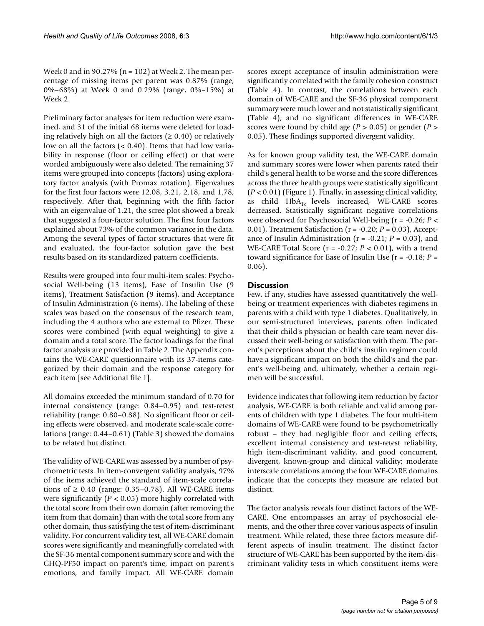Week 0 and in 90.27% ( $n = 102$ ) at Week 2. The mean percentage of missing items per parent was 0.87% (range, 0%–68%) at Week 0 and 0.29% (range, 0%–15%) at Week 2.

Preliminary factor analyses for item reduction were examined, and 31 of the initial 68 items were deleted for loading relatively high on all the factors ( $\geq 0.40$ ) or relatively low on all the factors (< 0.40). Items that had low variability in response (floor or ceiling effect) or that were worded ambiguously were also deleted. The remaining 37 items were grouped into concepts (factors) using exploratory factor analysis (with Promax rotation). Eigenvalues for the first four factors were 12.08, 3.21, 2.18, and 1.78, respectively. After that, beginning with the fifth factor with an eigenvalue of 1.21, the scree plot showed a break that suggested a four-factor solution. The first four factors explained about 73% of the common variance in the data. Among the several types of factor structures that were fit and evaluated, the four-factor solution gave the best results based on its standardized pattern coefficients.

Results were grouped into four multi-item scales: Psychosocial Well-being (13 items), Ease of Insulin Use (9 items), Treatment Satisfaction (9 items), and Acceptance of Insulin Administration (6 items). The labeling of these scales was based on the consensus of the research team, including the 4 authors who are external to Pfizer. These scores were combined (with equal weighting) to give a domain and a total score. The factor loadings for the final factor analysis are provided in Table 2. The Appendix contains the WE-CARE questionnaire with its 37-items categorized by their domain and the response category for each item [see Additional file 1].

All domains exceeded the minimum standard of 0.70 for internal consistency (range: 0.84–0.95) and test-retest reliability (range: 0.80–0.88). No significant floor or ceiling effects were observed, and moderate scale-scale correlations (range: 0.44–0.61) (Table 3) showed the domains to be related but distinct.

The validity of WE-CARE was assessed by a number of psychometric tests. In item-convergent validity analysis, 97% of the items achieved the standard of item-scale correlations of  $\geq$  0.40 (range: 0.35–0.78). All WE-CARE items were significantly (*P* < 0.05) more highly correlated with the total score from their own domain (after removing the item from that domain) than with the total score from any other domain, thus satisfying the test of item-discriminant validity. For concurrent validity test, all WE-CARE domain scores were significantly and meaningfully correlated with the SF-36 mental component summary score and with the CHQ-PF50 impact on parent's time, impact on parent's emotions, and family impact. All WE-CARE domain

scores except acceptance of insulin administration were significantly correlated with the family cohesion construct (Table 4). In contrast, the correlations between each domain of WE-CARE and the SF-36 physical component summary were much lower and not statistically significant (Table 4), and no significant differences in WE-CARE scores were found by child age (*P* > 0.05) or gender (*P* > 0.05). These findings supported divergent validity.

As for known group validity test, the WE-CARE domain and summary scores were lower when parents rated their child's general health to be worse and the score differences across the three health groups were statistically significant (*P* < 0.01) (Figure 1). Finally, in assessing clinical validity, as child  $HbA_{1c}$  levels increased, WE-CARE scores decreased. Statistically significant negative correlations were observed for Psychosocial Well-being (r = -0.26; *P* < 0.01), Treatment Satisfaction (r = -0.20; *P* = 0.03), Acceptance of Insulin Administration ( $r = -0.21$ ;  $P = 0.03$ ), and WE-CARE Total Score (r = -0.27; *P* < 0.01), with a trend toward significance for Ease of Insulin Use (r = -0.18; *P* = 0.06).

# **Discussion**

Few, if any, studies have assessed quantitatively the wellbeing or treatment experiences with diabetes regimens in parents with a child with type 1 diabetes. Qualitatively, in our semi-structured interviews, parents often indicated that their child's physician or health care team never discussed their well-being or satisfaction with them. The parent's perceptions about the child's insulin regimen could have a significant impact on both the child's and the parent's well-being and, ultimately, whether a certain regimen will be successful.

Evidence indicates that following item reduction by factor analysis, WE-CARE is both reliable and valid among parents of children with type 1 diabetes. The four multi-item domains of WE-CARE were found to be psychometrically robust – they had negligible floor and ceiling effects, excellent internal consistency and test-retest reliability, high item-discriminant validity, and good concurrent, divergent, known-group and clinical validity; moderate interscale correlations among the four WE-CARE domains indicate that the concepts they measure are related but distinct.

The factor analysis reveals four distinct factors of the WE-CARE. One encompasses an array of psychosocial elements, and the other three cover various aspects of insulin treatment. While related, these three factors measure different aspects of insulin treatment. The distinct factor structure of WE-CARE has been supported by the item-discriminant validity tests in which constituent items were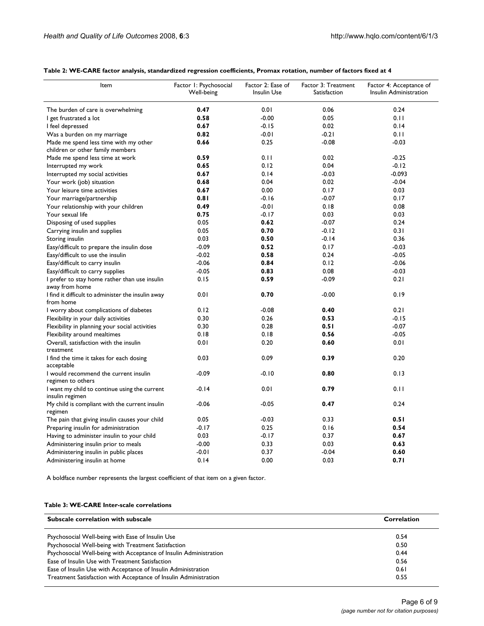| Item                                                             | Factor 1: Psychosocial<br>Well-being | Factor 2: Ease of<br>Insulin Use | Factor 3: Treatment<br>Satisfaction | Factor 4: Acceptance of<br>Insulin Administration |  |
|------------------------------------------------------------------|--------------------------------------|----------------------------------|-------------------------------------|---------------------------------------------------|--|
| The burden of care is overwhelming                               | 0.47                                 | 0.01                             | 0.06                                | 0.24                                              |  |
| I get frustrated a lot                                           | 0.58                                 | $-0.00$                          | 0.05                                | 0.11                                              |  |
| I feel depressed                                                 | 0.67                                 | $-0.15$                          | 0.02                                | 0.14                                              |  |
| Was a burden on my marriage                                      | 0.82                                 | $-0.01$                          | $-0.21$                             | 0.11                                              |  |
| Made me spend less time with my other                            | 0.66                                 | 0.25                             | $-0.08$                             | $-0.03$                                           |  |
| children or other family members                                 |                                      |                                  |                                     |                                                   |  |
| Made me spend less time at work                                  | 0.59                                 | 0.11                             | 0.02                                | $-0.25$                                           |  |
| Interrupted my work                                              | 0.65                                 | 0.12                             | 0.04                                | $-0.12$                                           |  |
| Interrupted my social activities                                 | 0.67                                 | 0.14                             | $-0.03$                             | $-0.093$                                          |  |
| Your work (job) situation                                        | 0.68                                 | 0.04                             | 0.02                                | $-0.04$                                           |  |
| Your leisure time activities                                     | 0.67                                 | 0.00                             | 0.17                                | 0.03                                              |  |
| Your marriage/partnership                                        | 0.81                                 | $-0.16$                          | $-0.07$                             | 0.17                                              |  |
| Your relationship with your children                             | 0.49                                 | $-0.01$                          | 0.18                                | 0.08                                              |  |
| Your sexual life                                                 | 0.75                                 | $-0.17$                          | 0.03                                | 0.03                                              |  |
| Disposing of used supplies                                       | 0.05                                 | 0.62                             | $-0.07$                             | 0.24                                              |  |
| Carrying insulin and supplies                                    | 0.05                                 | 0.70                             | $-0.12$                             | 0.31                                              |  |
| Storing insulin                                                  | 0.03                                 | 0.50                             | $-0.14$                             | 0.36                                              |  |
| Easy/difficult to prepare the insulin dose                       | $-0.09$                              | 0.52                             | 0.17                                | $-0.03$                                           |  |
| Easy/difficult to use the insulin                                | $-0.02$                              | 0.58                             | 0.24                                | $-0.05$                                           |  |
| Easy/difficult to carry insulin                                  | $-0.06$                              | 0.84                             | 0.12                                | $-0.06$                                           |  |
| Easy/difficult to carry supplies                                 | $-0.05$                              | 0.83                             | 0.08                                | $-0.03$                                           |  |
| I prefer to stay home rather than use insulin                    | 0.15                                 | 0.59                             | $-0.09$                             | 0.21                                              |  |
| away from home                                                   |                                      |                                  |                                     |                                                   |  |
| I find it difficult to administer the insulin away<br>from home  | 0.01                                 | 0.70                             | $-0.00$                             | 0.19                                              |  |
| I worry about complications of diabetes                          | 0.12                                 | $-0.08$                          | 0.40                                | 0.21                                              |  |
| Flexibility in your daily activities                             | 0.30                                 | 0.26                             | 0.53                                | $-0.15$                                           |  |
| Flexibility in planning your social activities                   | 0.30                                 | 0.28                             | 0.51                                | $-0.07$                                           |  |
| Flexibility around mealtimes                                     | 0.18                                 | 0.18                             | 0.56                                | $-0.05$                                           |  |
| Overall, satisfaction with the insulin                           | 0.01                                 | 0.20                             | 0.60                                | 0.01                                              |  |
| treatment                                                        |                                      |                                  |                                     |                                                   |  |
| I find the time it takes for each dosing<br>acceptable           | 0.03                                 | 0.09                             | 0.39                                | 0.20                                              |  |
| I would recommend the current insulin<br>regimen to others       | $-0.09$                              | $-0.10$                          | 0.80                                | 0.13                                              |  |
| I want my child to continue using the current<br>insulin regimen | $-0.14$                              | 0.01                             | 0.79                                | 0.11                                              |  |
| My child is compliant with the current insulin<br>regimen        | $-0.06$                              | $-0.05$                          | 0.47                                | 0.24                                              |  |
| The pain that giving insulin causes your child                   | 0.05                                 | $-0.03$                          | 0.33                                | 0.51                                              |  |
| Preparing insulin for administration                             | $-0.17$                              | 0.25                             | 0.16                                | 0.54                                              |  |
| Having to administer insulin to your child                       | 0.03                                 | $-0.17$                          | 0.37                                | 0.67                                              |  |
| Administering insulin prior to meals                             | $-0.00$                              | 0.33                             | 0.03                                | 0.63                                              |  |
| Administering insulin in public places                           | $-0.01$                              | 0.37                             | $-0.04$                             | 0.60                                              |  |
| Administering insulin at home                                    | 0.14                                 | 0.00                             | 0.03                                | 0.71                                              |  |

#### **Table 2: WE-CARE factor analysis, standardized regression coefficients, Promax rotation, number of factors fixed at 4**

A boldface number represents the largest coefficient of that item on a given factor.

#### **Table 3: WE-CARE Inter-scale correlations**

| Subscale correlation with subscale                                | <b>Correlation</b> |
|-------------------------------------------------------------------|--------------------|
| Psychosocial Well-being with Ease of Insulin Use                  | 0.54               |
| Psychosocial Well-being with Treatment Satisfaction               | 0.50               |
| Psychosocial Well-being with Acceptance of Insulin Administration | 0.44               |
| Ease of Insulin Use with Treatment Satisfaction                   | 0.56               |
| Ease of Insulin Use with Acceptance of Insulin Administration     | 0.61               |
| Treatment Satisfaction with Acceptance of Insulin Administration  | 0.55               |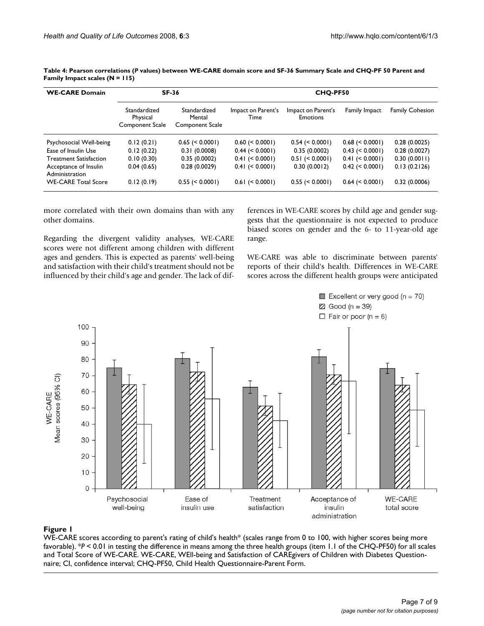| <b>WE-CARE Domain</b>                   | <b>SF-36</b>                                |                                           | CHQ-PF50                   |                                       |                    |                        |
|-----------------------------------------|---------------------------------------------|-------------------------------------------|----------------------------|---------------------------------------|--------------------|------------------------|
|                                         | Standardized<br>Physical<br>Component Scale | Standardized<br>Mental<br>Component Scale | Impact on Parent's<br>Time | Impact on Parent's<br><b>Emotions</b> | Family Impact      | <b>Family Cohesion</b> |
| Psychosocial Well-being                 | 0.12(0.21)                                  | $0.65 \le 0.0001$                         | $0.60 \leq 0.0001$         | $0.54 \leq 0.0001$                    | $0.68 \leq 0.0001$ | 0.28(0.0025)           |
| Ease of Insulin Use                     | 0.12(0.22)                                  | 0.31(0.0008)                              | $0.44 \leq 0.0001$         | 0.35(0.0002)                          | $0.43 \leq 0.0001$ | 0.28(0.0027)           |
| <b>Treatment Satisfaction</b>           | 0.10(0.30)                                  | 0.35(0.0002)                              | $0.41 \leq 0.0001$         | $0.51 \le 0.0001$                     | $0.41 \leq 0.0001$ | 0.30(0.0011)           |
| Acceptance of Insulin<br>Administration | 0.04(0.65)                                  | 0.28(0.0029)                              | $0.41 \leq 0.0001$         | 0.30(0.0012)                          | $0.42 \leq 0.0001$ | 0.13(0.2126)           |
| <b>WE-CARE Total Score</b>              | 0.12(0.19)                                  | $0.55 \leq 0.0001$                        | $0.61 \leq 0.0001$         | $0.55 \leq 0.0001$                    | $0.64 \leq 0.0001$ | 0.32(0.0006)           |

**Table 4: Pearson correlations (***P* **values) between WE-CARE domain score and SF-36 Summary Scale and CHQ-PF 50 Parent and Family Impact scales (N = 115)**

more correlated with their own domains than with any other domains.

Regarding the divergent validity analyses, WE-CARE scores were not different among children with different ages and genders. This is expected as parents' well-being and satisfaction with their child's treatment should not be influenced by their child's age and gender. The lack of differences in WE-CARE scores by child age and gender suggests that the questionnaire is not expected to produce biased scores on gender and the 6- to 11-year-old age range.

WE-CARE was able to discriminate between parents' reports of their child's health. Differences in WE-CARE scores across the different health groups were anticipated



#### WE-CARE scores according to parent's rati favorable) **Figure 1** ng of child's health\* (scales range from 0 to 100, with higher scores being more

WE-CARE scores according to parent's rating of child's health\* (scales range from 0 to 100, with higher scores being more favorable). \**P* < 0.01 in testing the difference in means among the three health groups (item 1.1 of the CHQ-PF50) for all scales and Total Score of WE-CARE. WE-CARE, WEll-being and Satisfaction of CAREgivers of Children with Diabetes Questionnaire; CI, confidence interval; CHQ-PF50, Child Health Questionnaire-Parent Form.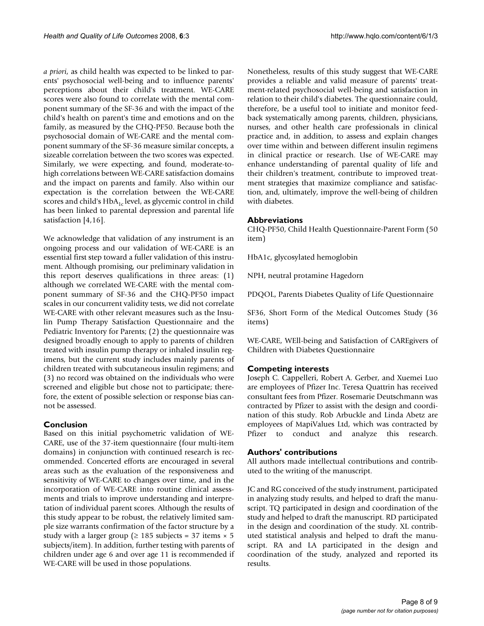*a priori*, as child health was expected to be linked to parents' psychosocial well-being and to influence parents' perceptions about their child's treatment. WE-CARE scores were also found to correlate with the mental component summary of the SF-36 and with the impact of the child's health on parent's time and emotions and on the family, as measured by the CHQ-PF50. Because both the psychosocial domain of WE-CARE and the mental component summary of the SF-36 measure similar concepts, a sizeable correlation between the two scores was expected. Similarly, we were expecting, and found, moderate-tohigh correlations between WE-CARE satisfaction domains and the impact on parents and family. Also within our expectation is the correlation between the WE-CARE scores and child's  $HbA_{1c}$  level, as glycemic control in child has been linked to parental depression and parental life satisfaction [4,16].

We acknowledge that validation of any instrument is an ongoing process and our validation of WE-CARE is an essential first step toward a fuller validation of this instrument. Although promising, our preliminary validation in this report deserves qualifications in three areas: (1) although we correlated WE-CARE with the mental component summary of SF-36 and the CHQ-PF50 impact scales in our concurrent validity tests, we did not correlate WE-CARE with other relevant measures such as the Insulin Pump Therapy Satisfaction Questionnaire and the Pediatric Inventory for Parents; (2) the questionnaire was designed broadly enough to apply to parents of children treated with insulin pump therapy or inhaled insulin regimens, but the current study includes mainly parents of children treated with subcutaneous insulin regimens; and (3) no record was obtained on the individuals who were screened and eligible but chose not to participate; therefore, the extent of possible selection or response bias cannot be assessed.

# **Conclusion**

Based on this initial psychometric validation of WE-CARE, use of the 37-item questionnaire (four multi-item domains) in conjunction with continued research is recommended. Concerted efforts are encouraged in several areas such as the evaluation of the responsiveness and sensitivity of WE-CARE to changes over time, and in the incorporation of WE-CARE into routine clinical assessments and trials to improve understanding and interpretation of individual parent scores. Although the results of this study appear to be robust, the relatively limited sample size warrants confirmation of the factor structure by a study with a larger group ( $\geq$  185 subjects = 37 items  $\times$  5 subjects/item). In addition, further testing with parents of children under age 6 and over age 11 is recommended if WE-CARE will be used in those populations.

Nonetheless, results of this study suggest that WE-CARE provides a reliable and valid measure of parents' treatment-related psychosocial well-being and satisfaction in relation to their child's diabetes. The questionnaire could, therefore, be a useful tool to initiate and monitor feedback systematically among parents, children, physicians, nurses, and other health care professionals in clinical practice and, in addition, to assess and explain changes over time within and between different insulin regimens in clinical practice or research. Use of WE-CARE may enhance understanding of parental quality of life and their children's treatment, contribute to improved treatment strategies that maximize compliance and satisfaction, and, ultimately, improve the well-being of children with diabetes.

# **Abbreviations**

CHQ-PF50, Child Health Questionnaire-Parent Form (50 item)

HbA1c, glycosylated hemoglobin

NPH, neutral protamine Hagedorn

PDQOL, Parents Diabetes Quality of Life Questionnaire

SF36, Short Form of the Medical Outcomes Study (36 items)

WE-CARE, WEll-being and Satisfaction of CAREgivers of Children with Diabetes Questionnaire

# **Competing interests**

Joseph C. Cappelleri, Robert A. Gerber, and Xuemei Luo are employees of Pfizer Inc. Teresa Quattrin has received consultant fees from Pfizer. Rosemarie Deutschmann was contracted by Pfizer to assist with the design and coordination of this study. Rob Arbuckle and Linda Abetz are employees of MapiValues Ltd, which was contracted by Pfizer to conduct and analyze this research.

# **Authors' contributions**

All authors made intellectual contributions and contributed to the writing of the manuscript.

JC and RG conceived of the study instrument, participated in analyzing study results, and helped to draft the manuscript. TQ participated in design and coordination of the study and helped to draft the manuscript. RD participated in the design and coordination of the study. XL contributed statistical analysis and helped to draft the manuscript. RA and LA participated in the design and coordination of the study, analyzed and reported its results.